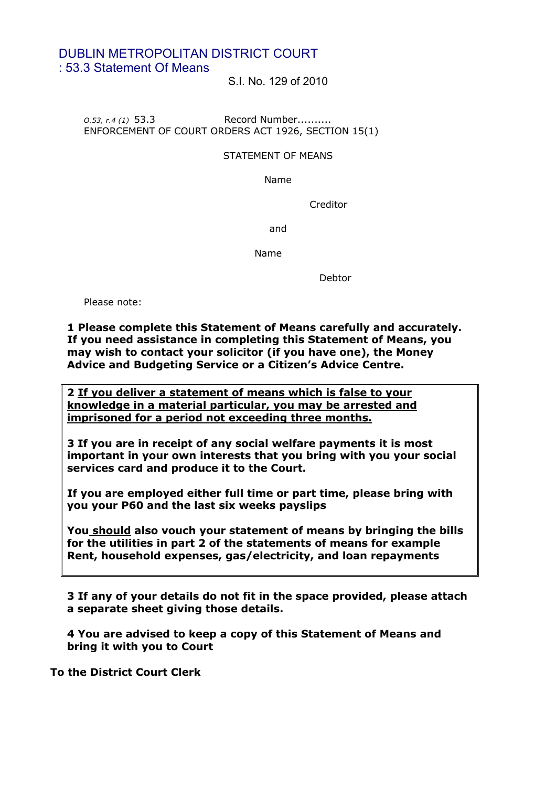# DUBLIN METROPOLITAN DISTRICT COURT : 53.3 Statement Of Means

S.I. No. 129 of 2010

*O.53, r.4 (1)* 53.3 Record Number.......... ENFORCEMENT OF COURT ORDERS ACT 1926, SECTION 15(1)

#### STATEMENT OF MEANS

Name

Creditor

and

Name

Debtor

Please note:

### **1 Please complete this Statement of Means carefully and accurately. If you need assistance in completing this Statement of Means, you may wish to contact your solicitor (if you have one), the Money Advice and Budgeting Service or a Citizen's Advice Centre.**

**2 If you deliver a statement of means which is false to your knowledge in a material particular, you may be arrested and imprisoned for a period not exceeding three months.**

**3 If you are in receipt of any social welfare payments it is most important in your own interests that you bring with you your social services card and produce it to the Court.**

**If you are employed either full time or part time, please bring with you your P60 and the last six weeks payslips**

**You should also vouch your statement of means by bringing the bills for the utilities in part 2 of the statements of means for example Rent, household expenses, gas/electricity, and loan repayments**

**3 If any of your details do not fit in the space provided, please attach a separate sheet giving those details.** 

**4 You are advised to keep a copy of this Statement of Means and bring it with you to Court**

**To the District Court Clerk**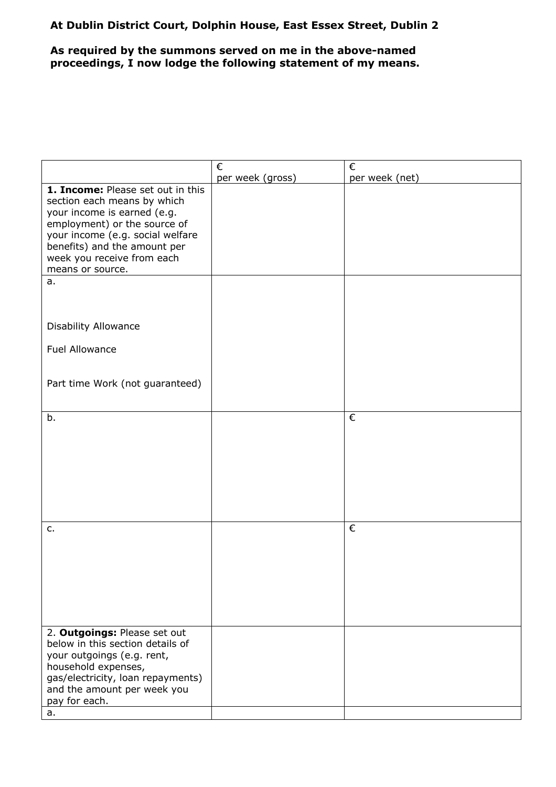### **At Dublin District Court, Dolphin House, East Essex Street, Dublin 2**

## **As required by the summons served on me in the above-named proceedings, I now lodge the following statement of my means.**

|                                                                                                                                                                                                                                                       | €                | €              |
|-------------------------------------------------------------------------------------------------------------------------------------------------------------------------------------------------------------------------------------------------------|------------------|----------------|
|                                                                                                                                                                                                                                                       | per week (gross) | per week (net) |
| 1. Income: Please set out in this<br>section each means by which<br>your income is earned (e.g.<br>employment) or the source of<br>your income (e.g. social welfare<br>benefits) and the amount per<br>week you receive from each<br>means or source. |                  |                |
| a.                                                                                                                                                                                                                                                    |                  |                |
| <b>Disability Allowance</b>                                                                                                                                                                                                                           |                  |                |
| <b>Fuel Allowance</b>                                                                                                                                                                                                                                 |                  |                |
| Part time Work (not guaranteed)                                                                                                                                                                                                                       |                  |                |
| b.                                                                                                                                                                                                                                                    |                  | €              |
|                                                                                                                                                                                                                                                       |                  |                |
| c.                                                                                                                                                                                                                                                    |                  | €              |
|                                                                                                                                                                                                                                                       |                  |                |
| 2. Outgoings: Please set out<br>below in this section details of<br>your outgoings (e.g. rent,<br>household expenses,<br>gas/electricity, loan repayments)<br>and the amount per week you<br>pay for each.<br>a.                                      |                  |                |
|                                                                                                                                                                                                                                                       |                  |                |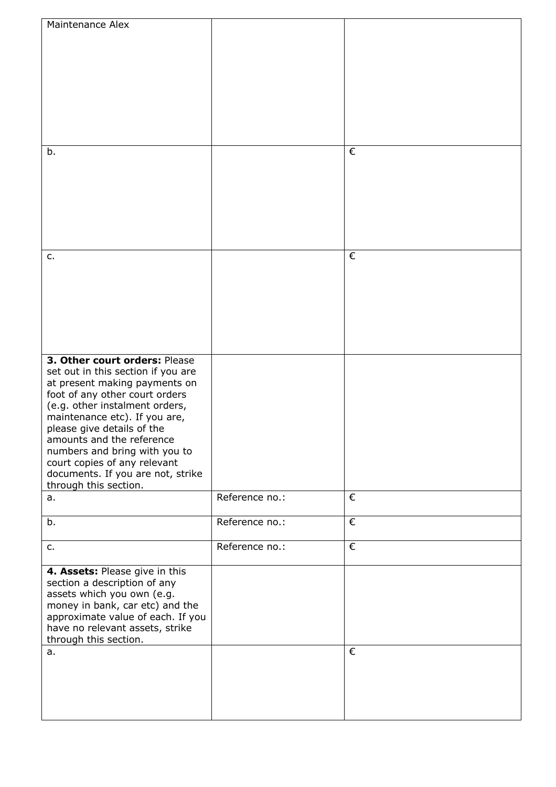| Maintenance Alex                                                     |                |            |
|----------------------------------------------------------------------|----------------|------------|
|                                                                      |                |            |
|                                                                      |                |            |
|                                                                      |                |            |
|                                                                      |                |            |
|                                                                      |                |            |
|                                                                      |                |            |
|                                                                      |                |            |
|                                                                      |                |            |
|                                                                      |                |            |
| b.                                                                   |                | €          |
|                                                                      |                |            |
|                                                                      |                |            |
|                                                                      |                |            |
|                                                                      |                |            |
|                                                                      |                |            |
|                                                                      |                |            |
|                                                                      |                |            |
|                                                                      |                |            |
| c.                                                                   |                | €          |
|                                                                      |                |            |
|                                                                      |                |            |
|                                                                      |                |            |
|                                                                      |                |            |
|                                                                      |                |            |
|                                                                      |                |            |
|                                                                      |                |            |
|                                                                      |                |            |
| 3. Other court orders: Please                                        |                |            |
| set out in this section if you are                                   |                |            |
| at present making payments on                                        |                |            |
| foot of any other court orders                                       |                |            |
| (e.g. other instalment orders,                                       |                |            |
| maintenance etc). If you are,                                        |                |            |
| please give details of the<br>amounts and the reference              |                |            |
| numbers and bring with you to                                        |                |            |
| court copies of any relevant                                         |                |            |
| documents. If you are not, strike                                    |                |            |
| through this section.                                                |                |            |
| a.                                                                   | Reference no.: | €          |
|                                                                      |                |            |
| b.                                                                   | Reference no.: | €          |
|                                                                      |                |            |
|                                                                      | Reference no.: | $\epsilon$ |
| c.                                                                   |                |            |
|                                                                      |                |            |
| 4. Assets: Please give in this                                       |                |            |
| section a description of any                                         |                |            |
| assets which you own (e.g.                                           |                |            |
| money in bank, car etc) and the                                      |                |            |
| approximate value of each. If you<br>have no relevant assets, strike |                |            |
| through this section.                                                |                |            |
|                                                                      |                | €          |
| a.                                                                   |                |            |
|                                                                      |                |            |
|                                                                      |                |            |
|                                                                      |                |            |
|                                                                      |                |            |
|                                                                      |                |            |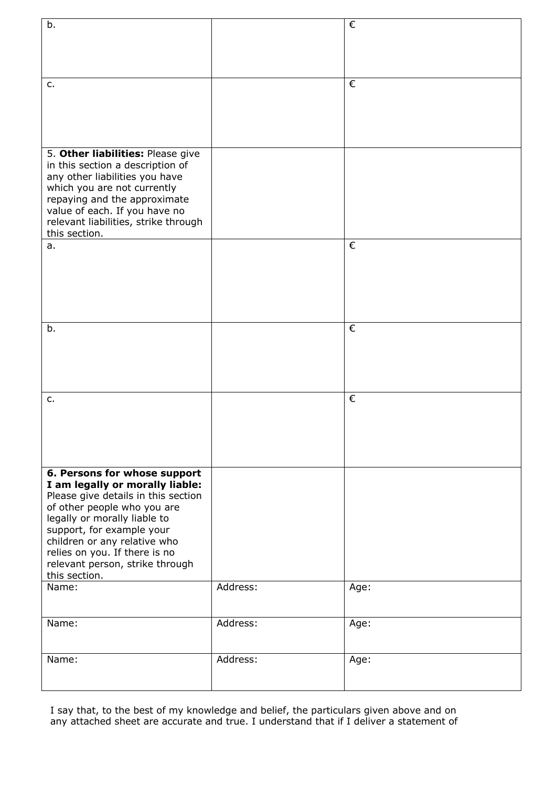| b.                                   |          | $\epsilon$ |
|--------------------------------------|----------|------------|
|                                      |          |            |
|                                      |          |            |
|                                      |          |            |
|                                      |          |            |
| c.                                   |          | €          |
|                                      |          |            |
|                                      |          |            |
|                                      |          |            |
|                                      |          |            |
|                                      |          |            |
|                                      |          |            |
| 5. Other liabilities: Please give    |          |            |
| in this section a description of     |          |            |
| any other liabilities you have       |          |            |
| which you are not currently          |          |            |
| repaying and the approximate         |          |            |
| value of each. If you have no        |          |            |
| relevant liabilities, strike through |          |            |
| this section.                        |          |            |
| a.                                   |          | €          |
|                                      |          |            |
|                                      |          |            |
|                                      |          |            |
|                                      |          |            |
|                                      |          |            |
|                                      |          |            |
| b.                                   |          | €          |
|                                      |          |            |
|                                      |          |            |
|                                      |          |            |
|                                      |          |            |
|                                      |          |            |
| $C_{\bullet}$                        |          | €          |
|                                      |          |            |
|                                      |          |            |
|                                      |          |            |
|                                      |          |            |
|                                      |          |            |
|                                      |          |            |
| 6. Persons for whose support         |          |            |
| I am legally or morally liable:      |          |            |
| Please give details in this section  |          |            |
| of other people who you are          |          |            |
| legally or morally liable to         |          |            |
| support, for example your            |          |            |
| children or any relative who         |          |            |
| relies on you. If there is no        |          |            |
| relevant person, strike through      |          |            |
| this section.                        |          |            |
| Name:                                | Address: | Age:       |
|                                      |          |            |
|                                      |          |            |
|                                      | Address: |            |
| Name:                                |          | Age:       |
|                                      |          |            |
|                                      |          |            |
| Name:                                | Address: | Age:       |
|                                      |          |            |
|                                      |          |            |

I say that, to the best of my knowledge and belief, the particulars given above and on any attached sheet are accurate and true. I understand that if I deliver a statement of